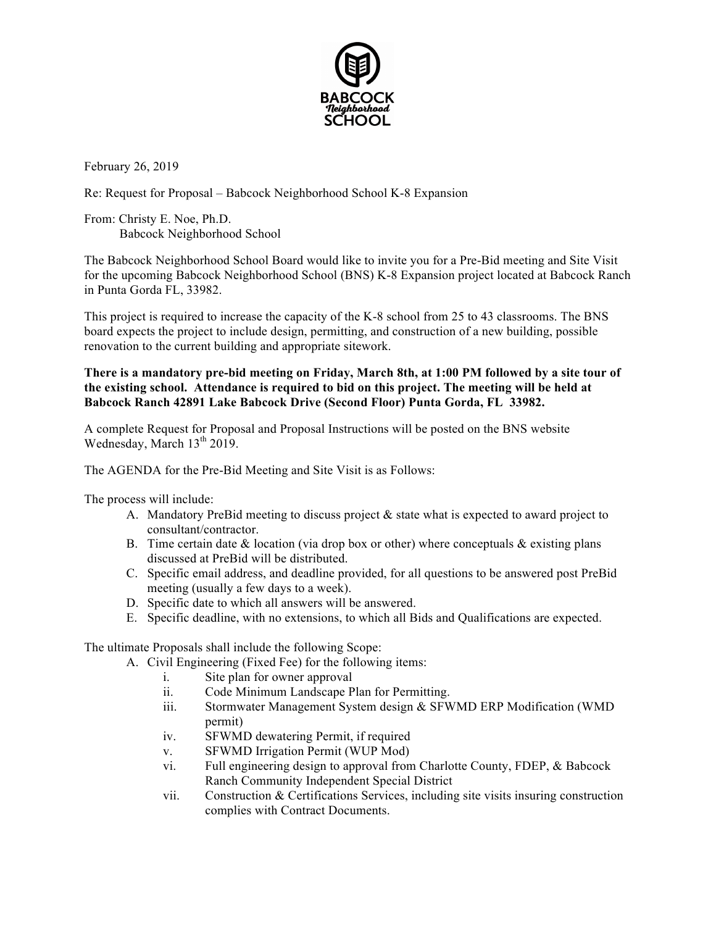

February 26, 2019

Re: Request for Proposal – Babcock Neighborhood School K-8 Expansion

From: Christy E. Noe, Ph.D. Babcock Neighborhood School

The Babcock Neighborhood School Board would like to invite you for a Pre-Bid meeting and Site Visit for the upcoming Babcock Neighborhood School (BNS) K-8 Expansion project located at Babcock Ranch in Punta Gorda FL, 33982.

This project is required to increase the capacity of the K-8 school from 25 to 43 classrooms. The BNS board expects the project to include design, permitting, and construction of a new building, possible renovation to the current building and appropriate sitework.

## **There is a mandatory pre-bid meeting on Friday, March 8th, at 1:00 PM followed by a site tour of the existing school. Attendance is required to bid on this project. The meeting will be held at Babcock Ranch 42891 Lake Babcock Drive (Second Floor) Punta Gorda, FL 33982.**

A complete Request for Proposal and Proposal Instructions will be posted on the BNS website Wednesday, March  $13<sup>th</sup> 2019$ .

The AGENDA for the Pre-Bid Meeting and Site Visit is as Follows:

The process will include:

- A. Mandatory PreBid meeting to discuss project & state what is expected to award project to consultant/contractor.
- B. Time certain date  $\&$  location (via drop box or other) where conceptuals  $\&$  existing plans discussed at PreBid will be distributed.
- C. Specific email address, and deadline provided, for all questions to be answered post PreBid meeting (usually a few days to a week).
- D. Specific date to which all answers will be answered.
- E. Specific deadline, with no extensions, to which all Bids and Qualifications are expected.

The ultimate Proposals shall include the following Scope:

- A. Civil Engineering (Fixed Fee) for the following items:
	- i. Site plan for owner approval
	- ii. Code Minimum Landscape Plan for Permitting.
	- iii. Stormwater Management System design & SFWMD ERP Modification (WMD permit)
	- iv. SFWMD dewatering Permit, if required
	- v. SFWMD Irrigation Permit (WUP Mod)
	- vi. Full engineering design to approval from Charlotte County, FDEP, & Babcock Ranch Community Independent Special District
	- vii. Construction & Certifications Services, including site visits insuring construction complies with Contract Documents.